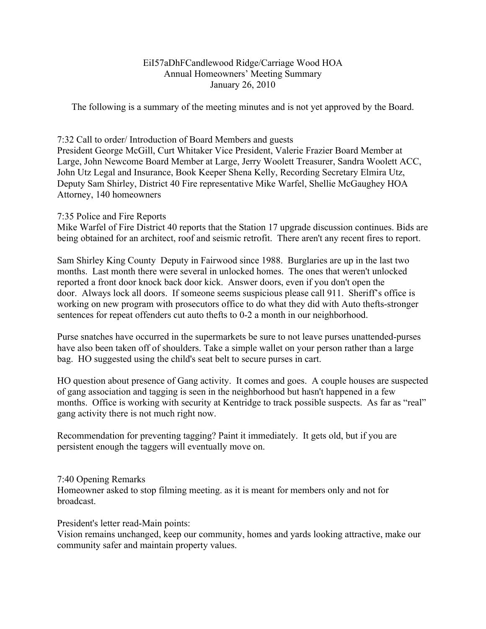#### EiI57aDhFCandlewood Ridge/Carriage Wood HOA Annual Homeowners' Meeting Summary January 26, 2010

The following is a summary of the meeting minutes and is not yet approved by the Board.

### 7:32 Call to order/ Introduction of Board Members and guests

President George McGill, Curt Whitaker Vice President, Valerie Frazier Board Member at Large, John Newcome Board Member at Large, Jerry Woolett Treasurer, Sandra Woolett ACC, John Utz Legal and Insurance, Book Keeper Shena Kelly, Recording Secretary Elmira Utz, Deputy Sam Shirley, District 40 Fire representative Mike Warfel, Shellie McGaughey HOA Attorney, 140 homeowners

## 7:35 Police and Fire Reports

Mike Warfel of Fire District 40 reports that the Station 17 upgrade discussion continues. Bids are being obtained for an architect, roof and seismic retrofit. There aren't any recent fires to report.

Sam Shirley King County Deputy in Fairwood since 1988. Burglaries are up in the last two months. Last month there were several in unlocked homes. The ones that weren't unlocked reported a front door knock back door kick. Answer doors, even if you don't open the door. Always lock all doors. If someone seems suspicious please call 911. Sheriff's office is working on new program with prosecutors office to do what they did with Auto thefts-stronger sentences for repeat offenders cut auto thefts to 0-2 a month in our neighborhood.

Purse snatches have occurred in the supermarkets be sure to not leave purses unattended-purses have also been taken off of shoulders. Take a simple wallet on your person rather than a large bag. HO suggested using the child's seat belt to secure purses in cart.

HO question about presence of Gang activity. It comes and goes. A couple houses are suspected of gang association and tagging is seen in the neighborhood but hasn't happened in a few months. Office is working with security at Kentridge to track possible suspects. As far as "real" gang activity there is not much right now.

Recommendation for preventing tagging? Paint it immediately. It gets old, but if you are persistent enough the taggers will eventually move on.

#### 7:40 Opening Remarks

Homeowner asked to stop filming meeting. as it is meant for members only and not for broadcast.

President's letter read-Main points:

Vision remains unchanged, keep our community, homes and yards looking attractive, make our community safer and maintain property values.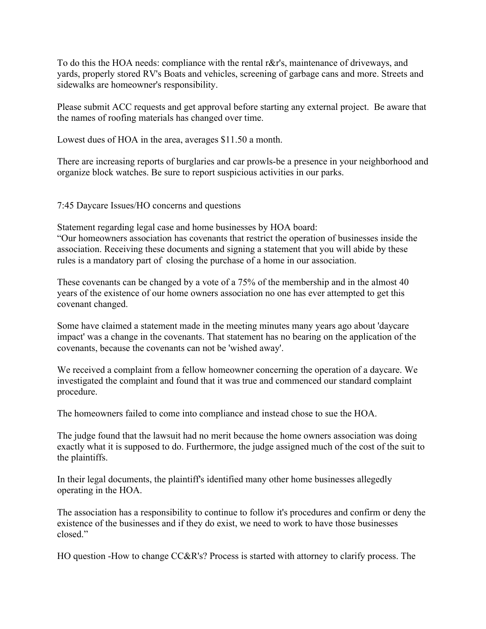To do this the HOA needs: compliance with the rental r&r's, maintenance of driveways, and yards, properly stored RV's Boats and vehicles, screening of garbage cans and more. Streets and sidewalks are homeowner's responsibility.

Please submit ACC requests and get approval before starting any external project. Be aware that the names of roofing materials has changed over time.

Lowest dues of HOA in the area, averages \$11.50 a month.

There are increasing reports of burglaries and car prowls-be a presence in your neighborhood and organize block watches. Be sure to report suspicious activities in our parks.

7:45 Daycare Issues/HO concerns and questions

Statement regarding legal case and home businesses by HOA board: "Our homeowners association has covenants that restrict the operation of businesses inside the association. Receiving these documents and signing a statement that you will abide by these rules is a mandatory part of closing the purchase of a home in our association.

These covenants can be changed by a vote of a 75% of the membership and in the almost 40 years of the existence of our home owners association no one has ever attempted to get this covenant changed.

Some have claimed a statement made in the meeting minutes many years ago about 'daycare impact' was a change in the covenants. That statement has no bearing on the application of the covenants, because the covenants can not be 'wished away'.

We received a complaint from a fellow homeowner concerning the operation of a daycare. We investigated the complaint and found that it was true and commenced our standard complaint procedure.

The homeowners failed to come into compliance and instead chose to sue the HOA.

The judge found that the lawsuit had no merit because the home owners association was doing exactly what it is supposed to do. Furthermore, the judge assigned much of the cost of the suit to the plaintiffs.

In their legal documents, the plaintiff's identified many other home businesses allegedly operating in the HOA.

The association has a responsibility to continue to follow it's procedures and confirm or deny the existence of the businesses and if they do exist, we need to work to have those businesses closed."

HO question -How to change CC&R's? Process is started with attorney to clarify process. The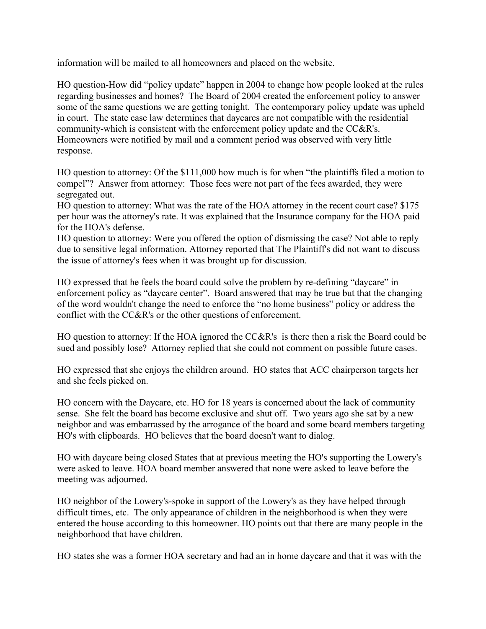information will be mailed to all homeowners and placed on the website.

HO question-How did "policy update" happen in 2004 to change how people looked at the rules regarding businesses and homes? The Board of 2004 created the enforcement policy to answer some of the same questions we are getting tonight. The contemporary policy update was upheld in court. The state case law determines that daycares are not compatible with the residential community-which is consistent with the enforcement policy update and the CC&R's. Homeowners were notified by mail and a comment period was observed with very little response.

HO question to attorney: Of the \$111,000 how much is for when "the plaintiffs filed a motion to compel"? Answer from attorney: Those fees were not part of the fees awarded, they were segregated out.

HO question to attorney: What was the rate of the HOA attorney in the recent court case? \$175 per hour was the attorney's rate. It was explained that the Insurance company for the HOA paid for the HOA's defense.

HO question to attorney: Were you offered the option of dismissing the case? Not able to reply due to sensitive legal information. Attorney reported that The Plaintiff's did not want to discuss the issue of attorney's fees when it was brought up for discussion.

HO expressed that he feels the board could solve the problem by re-defining "daycare" in enforcement policy as "daycare center". Board answered that may be true but that the changing of the word wouldn't change the need to enforce the "no home business" policy or address the conflict with the CC&R's or the other questions of enforcement.

HO question to attorney: If the HOA ignored the CC&R's is there then a risk the Board could be sued and possibly lose? Attorney replied that she could not comment on possible future cases.

HO expressed that she enjoys the children around. HO states that ACC chairperson targets her and she feels picked on.

HO concern with the Daycare, etc. HO for 18 years is concerned about the lack of community sense. She felt the board has become exclusive and shut off. Two years ago she sat by a new neighbor and was embarrassed by the arrogance of the board and some board members targeting HO's with clipboards. HO believes that the board doesn't want to dialog.

HO with daycare being closed States that at previous meeting the HO's supporting the Lowery's were asked to leave. HOA board member answered that none were asked to leave before the meeting was adjourned.

HO neighbor of the Lowery's-spoke in support of the Lowery's as they have helped through difficult times, etc. The only appearance of children in the neighborhood is when they were entered the house according to this homeowner. HO points out that there are many people in the neighborhood that have children.

HO states she was a former HOA secretary and had an in home daycare and that it was with the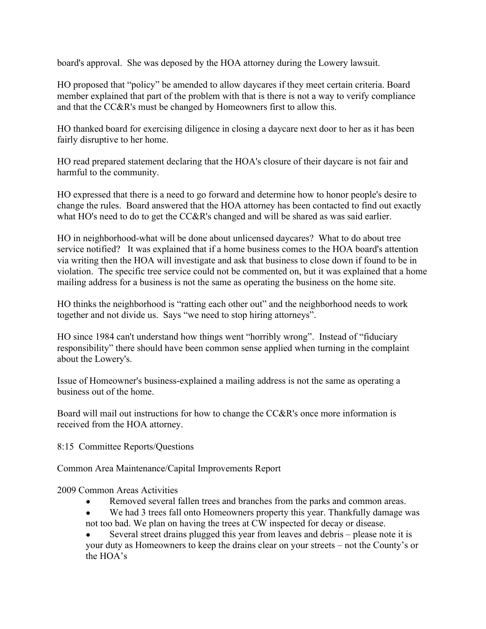board's approval. She was deposed by the HOA attorney during the Lowery lawsuit.

HO proposed that "policy" be amended to allow daycares if they meet certain criteria. Board member explained that part of the problem with that is there is not a way to verify compliance and that the CC&R's must be changed by Homeowners first to allow this.

HO thanked board for exercising diligence in closing a daycare next door to her as it has been fairly disruptive to her home.

HO read prepared statement declaring that the HOA's closure of their daycare is not fair and harmful to the community.

HO expressed that there is a need to go forward and determine how to honor people's desire to change the rules. Board answered that the HOA attorney has been contacted to find out exactly what HO's need to do to get the CC&R's changed and will be shared as was said earlier.

HO in neighborhood-what will be done about unlicensed daycares? What to do about tree service notified? It was explained that if a home business comes to the HOA board's attention via writing then the HOA will investigate and ask that business to close down if found to be in violation. The specific tree service could not be commented on, but it was explained that a home mailing address for a business is not the same as operating the business on the home site.

HO thinks the neighborhood is "ratting each other out" and the neighborhood needs to work together and not divide us. Says "we need to stop hiring attorneys".

HO since 1984 can't understand how things went "horribly wrong". Instead of "fiduciary responsibility" there should have been common sense applied when turning in the complaint about the Lowery's.

Issue of Homeowner's business-explained a mailing address is not the same as operating a business out of the home.

Board will mail out instructions for how to change the CC&R's once more information is received from the HOA attorney.

8:15 Committee Reports/Questions

Common Area Maintenance/Capital Improvements Report

2009 Common Areas Activities

- Removed several fallen trees and branches from the parks and common areas.
- We had 3 trees fall onto Homeowners property this year. Thankfully damage was not too bad. We plan on having the trees at CW inspected for decay or disease.

Several street drains plugged this year from leaves and debris – please note it is your duty as Homeowners to keep the drains clear on your streets – not the County's or the HOA's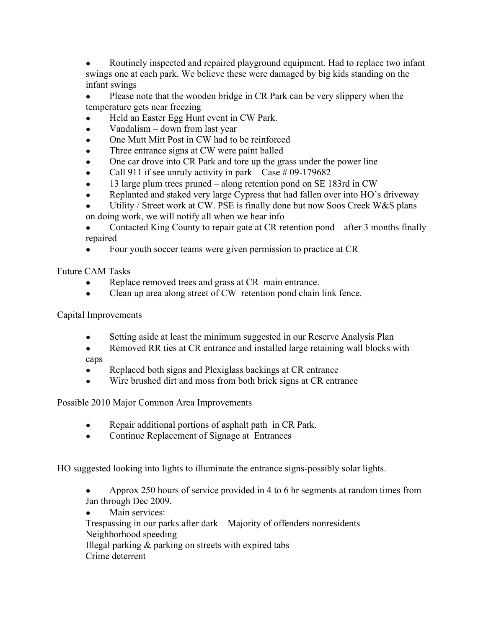Routinely inspected and repaired playground equipment. Had to replace two infant swings one at each park. We believe these were damaged by big kids standing on the infant swings

- Please note that the wooden bridge in CR Park can be very slippery when the temperature gets near freezing
- Held an Easter Egg Hunt event in CW Park.
- $\bullet$  Vandalism down from last year
- One Mutt Mitt Post in CW had to be reinforced
- Three entrance signs at CW were paint balled
- One car drove into CR Park and tore up the grass under the power line
- Call 911 if see unruly activity in park Case  $\#$  09-179682
- 13 large plum trees pruned along retention pond on SE 183rd in  $CW$
- Replanted and staked very large Cypress that had fallen over into HO's driveway
- Utility / Street work at CW. PSE is finally done but now Soos Creek W&S plans
- on doing work, we will notify all when we hear info

• Contacted King County to repair gate at CR retention pond – after 3 months finally repaired

Four youth soccer teams were given permission to practice at CR

Future CAM Tasks

- Replace removed trees and grass at CR main entrance.
- Clean up area along street of CW retention pond chain link fence.

Capital Improvements

- Setting aside at least the minimum suggested in our Reserve Analysis Plan
- Removed RR ties at CR entrance and installed large retaining wall blocks with caps
- Replaced both signs and Plexiglass backings at CR entrance
- Wire brushed dirt and moss from both brick signs at CR entrance

Possible 2010 Major Common Area Improvements

- Repair additional portions of asphalt path in CR Park.
- Continue Replacement of Signage at Entrances

HO suggested looking into lights to illuminate the entrance signs-possibly solar lights.

- Approx 250 hours of service provided in 4 to 6 hr segments at random times from Jan through Dec 2009.
- Main services:
- Trespassing in our parks after dark Majority of offenders nonresidents Neighborhood speeding

Illegal parking & parking on streets with expired tabs

Crime deterrent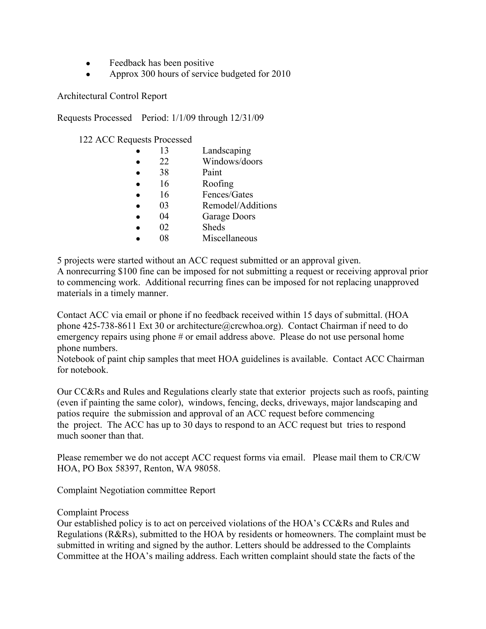- Feedback has been positive
- Approx 300 hours of service budgeted for 2010

Architectural Control Report

Requests Processed Period: 1/1/09 through 12/31/09

122 ACC Requests Processed

|           | 13 | Landscaping       |
|-----------|----|-------------------|
| $\bullet$ | 22 | Windows/doors     |
| $\bullet$ | 38 | Paint             |
| $\bullet$ | 16 | Roofing           |
| $\bullet$ | 16 | Fences/Gates      |
|           | 03 | Remodel/Additions |
|           | 04 | Garage Doors      |
|           | 02 | <b>Sheds</b>      |
|           | 08 | Miscellaneous     |

5 projects were started without an ACC request submitted or an approval given.

A nonrecurring \$100 fine can be imposed for not submitting a request or receiving approval prior to commencing work. Additional recurring fines can be imposed for not replacing unapproved materials in a timely manner.

Contact ACC via email or phone if no feedback received within 15 days of submittal. (HOA phone 425-738-8611 Ext 30 or architecture@crcwhoa.org). Contact Chairman if need to do emergency repairs using phone # or email address above. Please do not use personal home phone numbers.

Notebook of paint chip samples that meet HOA guidelines is available. Contact ACC Chairman for notebook.

Our CC&Rs and Rules and Regulations clearly state that exterior projects such as roofs, painting (even if painting the same color), windows, fencing, decks, driveways, major landscaping and patios require the submission and approval of an ACC request before commencing the project. The ACC has up to 30 days to respond to an ACC request but tries to respond much sooner than that.

Please remember we do not accept ACC request forms via email. Please mail them to CR/CW HOA, PO Box 58397, Renton, WA 98058.

Complaint Negotiation committee Report

#### Complaint Process

Our established policy is to act on perceived violations of the HOA's CC&Rs and Rules and Regulations (R&Rs), submitted to the HOA by residents or homeowners. The complaint must be submitted in writing and signed by the author. Letters should be addressed to the Complaints Committee at the HOA's mailing address. Each written complaint should state the facts of the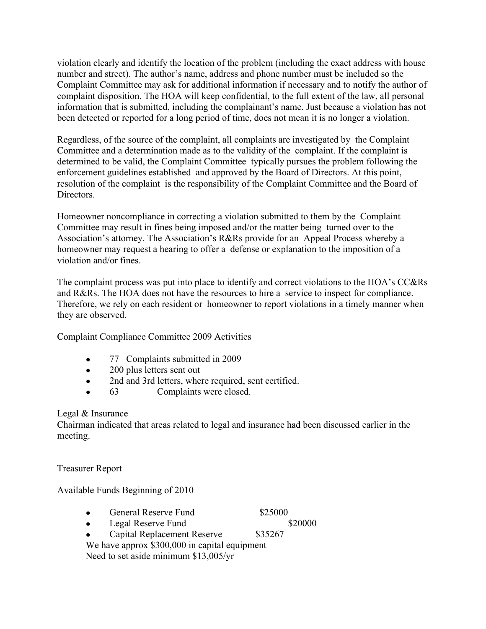violation clearly and identify the location of the problem (including the exact address with house number and street). The author's name, address and phone number must be included so the Complaint Committee may ask for additional information if necessary and to notify the author of complaint disposition. The HOA will keep confidential, to the full extent of the law, all personal information that is submitted, including the complainant's name. Just because a violation has not been detected or reported for a long period of time, does not mean it is no longer a violation.

Regardless, of the source of the complaint, all complaints are investigated by the Complaint Committee and a determination made as to the validity of the complaint. If the complaint is determined to be valid, the Complaint Committee typically pursues the problem following the enforcement guidelines established and approved by the Board of Directors. At this point, resolution of the complaint is the responsibility of the Complaint Committee and the Board of Directors.

Homeowner noncompliance in correcting a violation submitted to them by the Complaint Committee may result in fines being imposed and/or the matter being turned over to the Association's attorney. The Association's R&Rs provide for an Appeal Process whereby a homeowner may request a hearing to offer a defense or explanation to the imposition of a violation and/or fines.

The complaint process was put into place to identify and correct violations to the HOA's CC&Rs and R&Rs. The HOA does not have the resources to hire a service to inspect for compliance. Therefore, we rely on each resident or homeowner to report violations in a timely manner when they are observed.

Complaint Compliance Committee 2009 Activities

- 77 Complaints submitted in 2009
- 200 plus letters sent out
- 2nd and 3rd letters, where required, sent certified.
- 63 Complaints were closed.

# Legal & Insurance

Chairman indicated that areas related to legal and insurance had been discussed earlier in the meeting.

Treasurer Report

Available Funds Beginning of 2010

- General Reserve Fund \$25000
- Legal Reserve Fund \$20000

- Capital Replacement Reserve \$35267
- We have approx \$300,000 in capital equipment

Need to set aside minimum \$13,005/yr